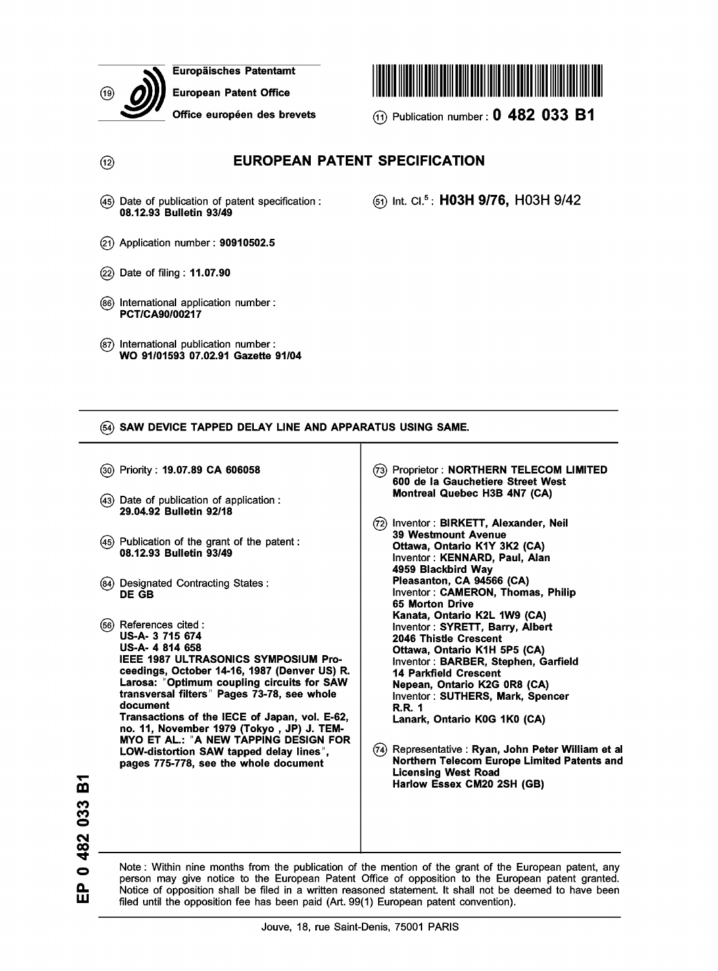

 $\circledR$ 

Europaisches Patentamt

European Patent Office

(45) Date of publication of patent specification :

08.12.93 Bulletin 93/49

(22) Date of filing : 11.07.90

(2j) Application number: 90910502.5



Office européen des brevets (1) Publication number: 0 482 033 B1

© int. ci.5 : H03H 9/76, H03H 9/42

|       | (86) International application number:<br>PCT/CA90/00217                                                                                                                                                                                                                                                                                                                                                                                                                                         |                                                                                                                                                                                                                                                                                                                                                                                                                                                                                        |
|-------|--------------------------------------------------------------------------------------------------------------------------------------------------------------------------------------------------------------------------------------------------------------------------------------------------------------------------------------------------------------------------------------------------------------------------------------------------------------------------------------------------|----------------------------------------------------------------------------------------------------------------------------------------------------------------------------------------------------------------------------------------------------------------------------------------------------------------------------------------------------------------------------------------------------------------------------------------------------------------------------------------|
| (87). | International publication number:<br>WO 91/01593 07.02.91 Gazette 91/04                                                                                                                                                                                                                                                                                                                                                                                                                          |                                                                                                                                                                                                                                                                                                                                                                                                                                                                                        |
|       |                                                                                                                                                                                                                                                                                                                                                                                                                                                                                                  |                                                                                                                                                                                                                                                                                                                                                                                                                                                                                        |
|       | (54) SAW DEVICE TAPPED DELAY LINE AND APPARATUS USING SAME.                                                                                                                                                                                                                                                                                                                                                                                                                                      |                                                                                                                                                                                                                                                                                                                                                                                                                                                                                        |
|       | (30) Priority: <b>19.07.89 CA 606058</b>                                                                                                                                                                                                                                                                                                                                                                                                                                                         | (73) Proprietor: NORTHERN TELECOM LIMITED<br>600 de la Gauchetiere Street West                                                                                                                                                                                                                                                                                                                                                                                                         |
|       | (43) Date of publication of application:<br>29.04.92 Bulletin 92/18                                                                                                                                                                                                                                                                                                                                                                                                                              | Montreal Quebec H3B 4N7 (CA)<br>(72) Inventor: BIRKETT, Alexander, Neil                                                                                                                                                                                                                                                                                                                                                                                                                |
|       | (45) Publication of the grant of the patent:<br>08.12.93 Bulletin 93/49                                                                                                                                                                                                                                                                                                                                                                                                                          | 39 Westmount Avenue<br>Ottawa, Ontario K1Y 3K2 (CA)<br>Inventor: KENNARD, Paul, Alan<br>4959 Blackbird Way                                                                                                                                                                                                                                                                                                                                                                             |
|       | (84) Designated Contracting States:<br><b>DE GB</b>                                                                                                                                                                                                                                                                                                                                                                                                                                              | Pleasanton, CA 94566 (CA)<br>Inventor: CAMERON, Thomas, Philip<br>65 Morton Drive                                                                                                                                                                                                                                                                                                                                                                                                      |
|       | (56) References cited :<br>US-A- 3 715 674<br>US-A- 4 814 658<br><b>IEEE 1987 ULTRASONICS SYMPOSIUM Pro-</b><br>ceedings, October 14-16, 1987 (Denver US) R.<br>Larosa: "Optimum coupling circuits for SAW<br>transversal filters" Pages 73-78, see whole<br>document<br>Transactions of the IECE of Japan, vol. E-62,<br>no. 11, November 1979 (Tokyo, JP) J. TEM-<br>MYO ET AL.: "A NEW TAPPING DESIGN FOR<br>LOW-distortion SAW tapped delay lines",<br>pages 775-778, see the whole document | Kanata, Ontario K2L 1W9 (CA)<br>Inventor: SYRETT, Barry, Albert<br>2046 Thistle Crescent<br>Ottawa, Ontario K1H 5P5 (CA)<br>Inventor: BARBER, Stephen, Garfield<br><b>14 Parkfield Crescent</b><br>Nepean, Ontario K2G 0R8 (CA)<br>Inventor: SUTHERS, Mark, Spencer<br><b>R.R. 1</b><br>Lanark, Ontario K0G 1K0 (CA)<br>(74) Representative: Ryan, John Peter William et al<br>Northern Telecom Europe Limited Patents and<br><b>Licensing West Road</b><br>Harlow Essex CM20 2SH (GB) |
|       |                                                                                                                                                                                                                                                                                                                                                                                                                                                                                                  |                                                                                                                                                                                                                                                                                                                                                                                                                                                                                        |

EUROPEAN PATENT SPECIFICATION

Note : Within nine months from the publication of the mention of the grant of the European patent, any person may give notice to the European Patent Office of opposition to the European patent granted. Notice of opposition shall be filed in a written reasoned statement. It shall not be deemed to have been filed until the opposition fee has been paid (Art. 99(1) European patent convention).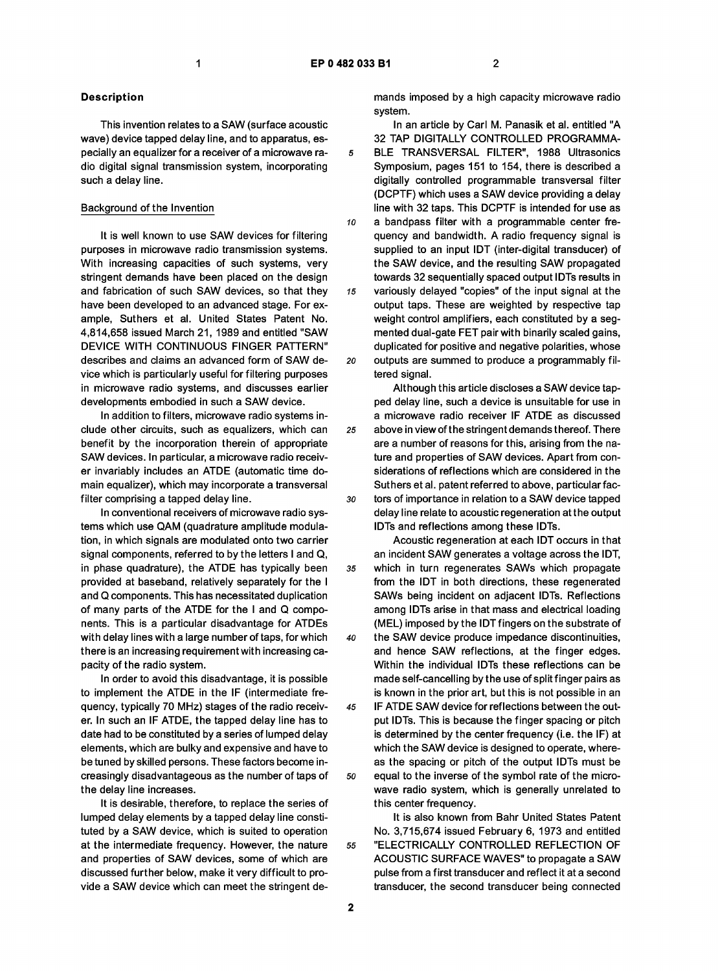#### Description

This invention relates to a SAW (surface acoustic wave) device tapped delay line, and to apparatus, especially an equalizer for a receiver of a microwave radio digital signal transmission system, incorporating such a delay line.

# Background of the Invention

It is well known to use SAW devices for filtering purposes in microwave radio transmission systems. With increasing capacities of such systems, very stringent demands have been placed on the design and fabrication of such SAW devices, so that they have been developed to an advanced stage. For example, Suthers et al. United States Patent No. 4,814,658 issued March 21, 1989 and entitled "SAW DEVICE WITH CONTINUOUS FINGER PATTERN" describes and claims an advanced form of SAW device which is particularly useful for filtering purposes in microwave radio systems, and discusses earlier developments embodied in such a SAW device.

In addition to filters, microwave radio systems include other circuits, such as equalizers, which can benefit by the incorporation therein of appropriate SAW devices. In particular, a microwave radio receiver invariably includes an ATDE (automatic time domain equalizer), which may incorporate a transversal filter comprising a tapped delay line.

In conventional receivers of microwave radio systems which use QAM (quadrature amplitude modulation, in which signals are modulated onto two carrier signal components, referred to by the letters I and Q, in phase quadrature), the ATDE has typically been provided at baseband, relatively separately for the I and Q components. This has necessitated duplication of many parts of the ATDE for the I and Q components. This is a particular disadvantage for ATDEs with delay lines with a large number of taps, for which there is an increasing requirement with increasing capacity of the radio system.

In order to avoid this disadvantage, it is possible to implement the ATDE in the IF (intermediate frequency, typically 70 MHz) stages of the radio receiver. In such an IF ATDE, the tapped delay line has to date had to be constituted by a series of lumped delay elements, which are bulky and expensive and have to be tuned by skilled persons. These factors become increasingly disadvantageous as the number of taps of the delay line increases.

It is desirable, therefore, to replace the series of lumped delay elements by a tapped delay line constituted by a SAW device, which is suited to operation at the intermediate frequency. However, the nature and properties of SAW devices, some of which are discussed further below, make it very difficult to provide a SAW device which can meet the stringent demands imposed by a high capacity microwave radio system.

In an article by Carl M. Panasik et al. entitled "A 32 TAP DIGITALLY CONTROLLED PROGRAMMA-5 BLE TRANSVERSAL FILTER", 1988 Ultrasonics Symposium, pages 151 to 154, there is described a digitally controlled programmable transversal filter (DCPTF) which uses a SAW device providing a delay line with 32 taps. This DCPTF is intended for use as 10 a bandpass filter with a programmable center frequency and bandwidth. A radio frequency signal is supplied to an input IDT (inter-digital transducer) of the SAW device, and the resulting SAW propagated towards 32 sequentially spaced output IDTs results in 15 variously delayed "copies" of the input signal at the output taps. These are weighted by respective tap weight control amplifiers, each constituted by a segmented dual-gate FET pair with binarily scaled gains, duplicated for positive and negative polarities, whose 20 outputs are summed to produce a programmably filtered signal.

Although this article discloses a SAW device tapped delay line, such a device is unsuitable for use in a microwave radio receiver IF ATDE as discussed 25 above in view of the stringent demands thereof. There are a number of reasons for this, arising from the nature and properties of SAW devices. Apart from considerations of reflections which are considered in the Suthers et al. patent referred to above, particular fac-30 tors of importance in relation to a SAW device tapped delay line relate to acoustic regeneration at the output IDTs and reflections among these IDTs.

Acoustic regeneration at each IDT occurs in that an incident SAW generates a voltage across the IDT, 35 which in turn regenerates SAWs which propagate from the IDT in both directions, these regenerated SAWs being incident on adjacent IDTs. Reflections among IDTs arise in that mass and electrical loading (MEL) imposed by the IDT fingers on the substrate of 40 the SAW device produce impedance discontinuities, and hence SAW reflections, at the finger edges. Within the individual IDTs these reflections can be made self-cancelling by the use of split finger pairs as is known in the prior art, but this is not possible in an 45 IF ATDE SAW device for reflections between the output IDTs. This is because the finger spacing or pitch is determined by the center frequency (i.e. the IF) at which the SAW device is designed to operate, whereas the spacing or pitch of the output IDTs must be so equal to the inverse of the symbol rate of the microwave radio system, which is generally unrelated to this center frequency.

It is also known from Bahr United States Patent No. 3,715,674 issued February 6, 1973 and entitled 55 "ELECTRICALLY CONTROLLED REFLECTION OF ACOUSTIC SURFACE WAVES" to propagate a SAW pulse from a first transducer and reflect it at a second transducer, the second transducer being connected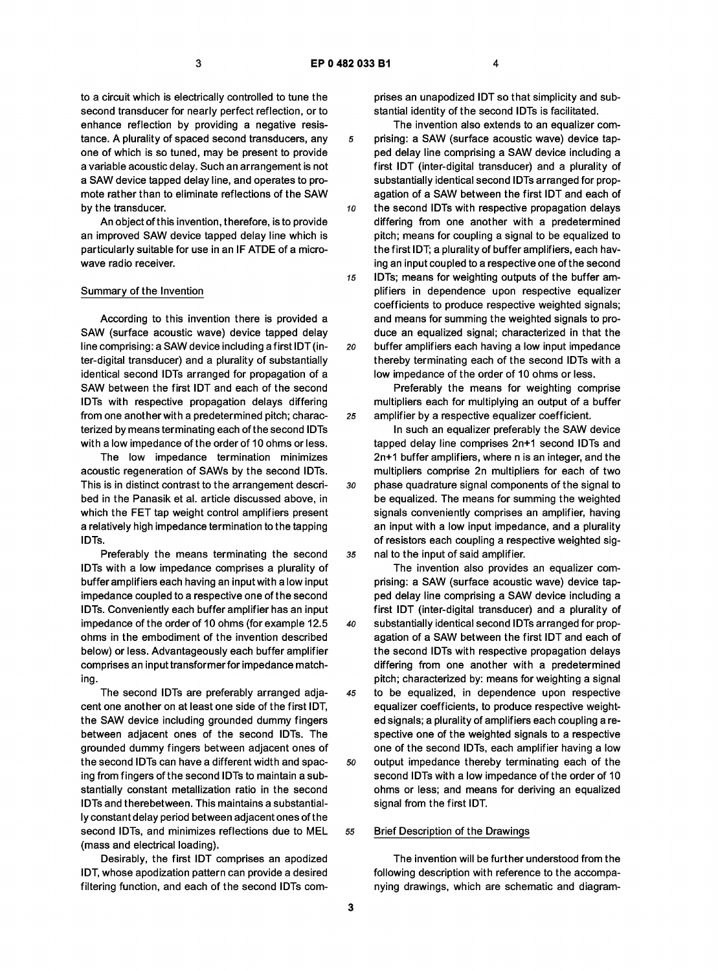to a circuit which is electrically controlled to tune the second transducer for nearly perfect reflection, or to enhance reflection by providing a negative resistance. A plurality of spaced second transducers, any one of which is so tuned, may be present to provide a variable acoustic delay. Such an arrangement is not a SAW device tapped delay line, and operates to promote rather than to eliminate reflections of the SAW by the transducer.

An object of this invention, therefore, is to provide an improved SAW device tapped delay line which is particularly suitable for use in an IF ATDE of a microwave radio receiver.

#### Summary of the Invention

According to this invention there is provided a SAW (surface acoustic wave) device tapped delay line comprising: a SAW device including a first IDT (inter-digital transducer) and a plurality of substantially identical second IDTs arranged for propagation of a SAW between the first IDT and each of the second IDTs with respective propagation delays differing from one another with a predetermined pitch; characterized by means terminating each of the second IDTs with a low impedance of the order of 10 ohms or less.

The low impedance termination minimizes acoustic regeneration of SAWs by the second IDTs. This is in distinct contrast to the arrangement described in the Panasik et al. article discussed above, in which the FET tap weight control amplifiers present a relatively high impedance termination to the tapping IDTs.

Preferably the means terminating the second IDTs with a low impedance comprises a plurality of buffer amplifiers each having an input with a low input impedance coupled to a respective one of the second IDTs. Conveniently each buffer amplifier has an input impedance of the order of 10 ohms (for example 12.5 ohms in the embodiment of the invention described below) or less. Advantageously each buffer amplifier comprises an input transformer for impedance matching.

The second IDTs are preferably arranged adjacent one another on at least one side of the first IDT, the SAW device including grounded dummy fingers between adjacent ones of the second IDTs. The grounded dummy fingers between adjacent ones of the second IDTs can have a different width and spacing from fingers of the second IDTs to maintain a substantially constant metallization ratio in the second IDTs and therebetween. This maintains a substantially constant delay period between adjacent ones of the second IDTs, and minimizes reflections due to MEL (mass and electrical loading).

Desirably, the first IDT comprises an apodized IDT, whose apodization pattern can provide a desired filtering function, and each of the second IDTs comprises an unapodized IDT so that simplicity and substantial identity of the second IDTs is facilitated.

The invention also extends to an equalizer com-5 prising: a SAW (surface acoustic wave) device tapped delay line comprising a SAW device including a first IDT (inter-digital transducer) and a plurality of substantially identical second IDTs arranged for propagation of a SAW between the first IDT and each of 10 the second IDTs with respective propagation delays differing from one another with a predetermined pitch; means for coupling a signal to be equalized to the first IDT; a plurality of buffer amplifiers, each having an input coupled to a respective one of the second 15 IDTs; means for weighting outputs of the buffer amplifiers in dependence upon respective equalizer coefficients to produce respective weighted signals; and means for summing the weighted signals to produce an equalized signal; characterized in that the 20 buffer amplifiers each having a low input impedance thereby terminating each of the second IDTs with a low impedance of the order of 10 ohms or less.

Preferably the means for weighting comprise multipliers each for multiplying an output of a buffer 25 amplifier by a respective equalizer coefficient.

In such an equalizer preferably the SAW device tapped delay line comprises 2n+1 second IDTs and 2n+1 buffer amplifiers, where n is an integer, and the multipliers comprise 2n multipliers for each of two 30 phase quadrature signal components of the signal to be equalized. The means for summing the weighted signals conveniently comprises an amplifier, having an input with a low input impedance, and a plurality of resistors each coupling a respective weighted sig-35 nal to the input of said amplifier.

The invention also provides an equalizer comprising: a SAW (surface acoustic wave) device tapped delay line comprising a SAW device including a first IDT (inter-digital transducer) and a plurality of 40 substantially identical second IDTs arranged for propagation of a SAW between the first IDT and each of the second IDTs with respective propagation delays differing from one another with a predetermined pitch; characterized by: means for weighting a signal 45 to be equalized, in dependence upon respective equalizer coefficients, to produce respective weighted signals; a plurality of amplifiers each coupling a respective one of the weighted signals to a respective one of the second IDTs, each amplifier having a low so output impedance thereby terminating each of the second IDTs with a low impedance of the order of 10 ohms or less; and means for deriving an equalized signal from the first IDT.

#### 55 Brief Description of the Drawings

The invention will be further understood from the following description with reference to the accompanying drawings, which are schematic and diagram-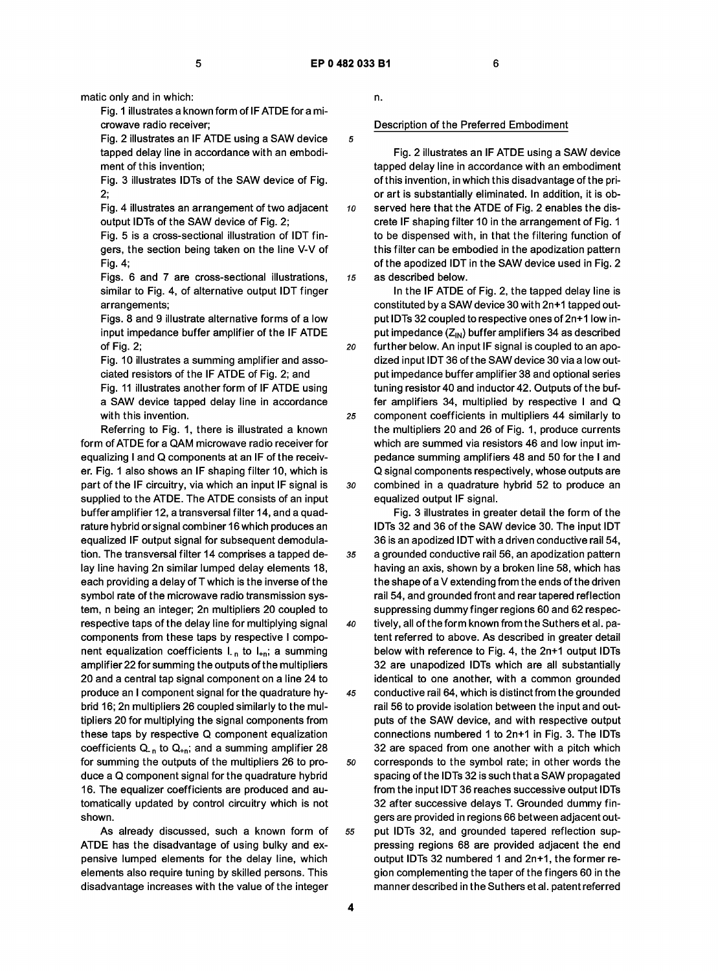matic only and in which:

Fig. 1 illustrates a known form of IF ATDE for a microwave radio receiver;

Fig. 2 illustrates an IF ATDE using a SAW device tapped delay line in accordance with an embodiment of this invention;

Fig. 3 illustrates IDTs of the SAW device of Fig. 2;

Fig. 4 illustrates an arrangement of two adjacent output IDTs of the SAW device of Fig. 2;

Fig. 5 is a cross-sectional illustration of IDT fingers, the section being taken on the line V-V of Fig. 4;

Figs. 6 and 7 are cross-sectional illustrations, similar to Fig. 4, of alternative output IDT finger arrangements;

Figs. 8 and 9 illustrate alternative forms of a low input impedance buffer amplifier of the IF ATDE of Fig. 2;

Fig. 10 illustrates a summing amplifier and associated resistors of the IF ATDE of Fig. 2; and Fig. 11 illustrates another form of IF ATDE using a SAW device tapped delay line in accordance with this invention.

Referring to Fig. 1, there is illustrated a known form of ATDE for a QAM microwave radio receiver for equalizing I and Q components at an IF of the receiver. Fig. 1 also shows an IF shaping filter 10, which is part of the IF circuitry, via which an input IF signal is supplied to the ATDE. The ATDE consists of an input buffer amplifier 12, a transversal filter 14, and a quadrature hybrid orsignal combiner 16 which produces an equalized IF output signal for subsequent demodulation. The transversal filter 14 comprises a tapped delay line having 2n similar lumped delay elements 18, each providing a delay of T which is the inverse of the symbol rate of the microwave radio transmission system, n being an integer; 2n multipliers 20 coupled to respective taps of the delay line for multiplying signal components from these taps by respective I component equalization coefficients  $L_n$  to  $L_{n}$ ; a summing amplifier 22 for summing the outputs of the multipliers 20 and a central tap signal component on a line 24 to produce an I component signal for the quadrature hybrid 16; 2n multipliers 26 coupled similarly to the multipliers 20 for multiplying the signal components from these taps by respective Q component equalization coefficients  $Q_{n}$  to  $Q_{n}$ ; and a summing amplifier 28 for summing the outputs of the multipliers 26 to produce a Q component signal for the quadrature hybrid 16. The equalizer coefficients are produced and automatically updated by control circuitry which is not shown.

As already discussed, such a known form of ATDE has the disadvantage of using bulky and expensive lumped elements for the delay line, which elements also require tuning by skilled persons. This disadvantage increases with the value of the integer n.

#### Description of the Preferred Embodiment

Fig. 2 illustrates an IF ATDE using a SAW device tapped delay line in accordance with an embodiment of this invention, in which this disadvantage of the prior art is substantially eliminated. In addition, it is ob-10 served here that the ATDE of Fig. 2 enables the discrete IF shaping filter 10 in the arrangement of Fig. 1 to be dispensed with, in that the filtering function of this filter can be embodied in the apodization pattern of the apodized IDT in the SAW device used in Fig. 2 15 as described below.

In the IF ATDE of Fig. 2, the tapped delay line is constituted by a SAW device 30 with 2n+1 tapped output IDTs 32 coupled to respective ones of 2n+1 low input impedance  $(Z_{\text{IN}})$  buffer amplifiers 34 as described 20 further below. An input IF signal is coupled to an apodized input IDT 36 of the SAW device 30 via a low output impedance buffer amplifier 38 and optional series tuning resistor 40 and inductor 42. Outputs of the buffer amplifiers 34, multiplied by respective I and Q 25 component coefficients in multipliers 44 similarly to the multipliers 20 and 26 of Fig. 1, produce currents which are summed via resistors 46 and low input impedance summing amplifiers 48 and 50 for the I and Q signal components respectively, whose outputs are 30 combined in a quadrature hybrid 52 to produce an equalized output IF signal.

Fig. 3 illustrates in greater detail the form of the IDTs 32 and 36 of the SAW device 30. The input IDT 36 is an apodized IDT with a driven conductive rail 54, 35 a grounded conductive rail 56, an apodization pattern having an axis, shown by a broken line 58, which has the shape of a V extending from the ends of the driven rail 54, and grounded front and rear tapered reflection suppressing dummy finger regions 60 and 62 respec-40 tively, all of the form known from the Suthers et al. patent referred to above. As described in greater detail below with reference to Fig. 4, the 2n+1 output IDTs 32 are unapodized IDTs which are all substantially identical to one another, with a common grounded 45 conductive rail 64, which is distinct from the grounded rail 56 to provide isolation between the input and outputs of the SAW device, and with respective output connections numbered 1 to 2n+1 in Fig. 3. The IDTs 32 are spaced from one another with a pitch which so corresponds to the symbol rate; in other words the spacing of the IDTs 32 is such that a SAW propagated from the input IDT 36 reaches successive output IDTs 32 after successive delays T. Grounded dummy fingers are provided in regions 66 between adjacent out-55 put IDTs 32, and grounded tapered reflection suppressing regions 68 are provided adjacent the end output IDTs 32 numbered 1 and 2n+1, the former region complementing the taper of the fingers 60 in the manner described in the Suthers et al. patent referred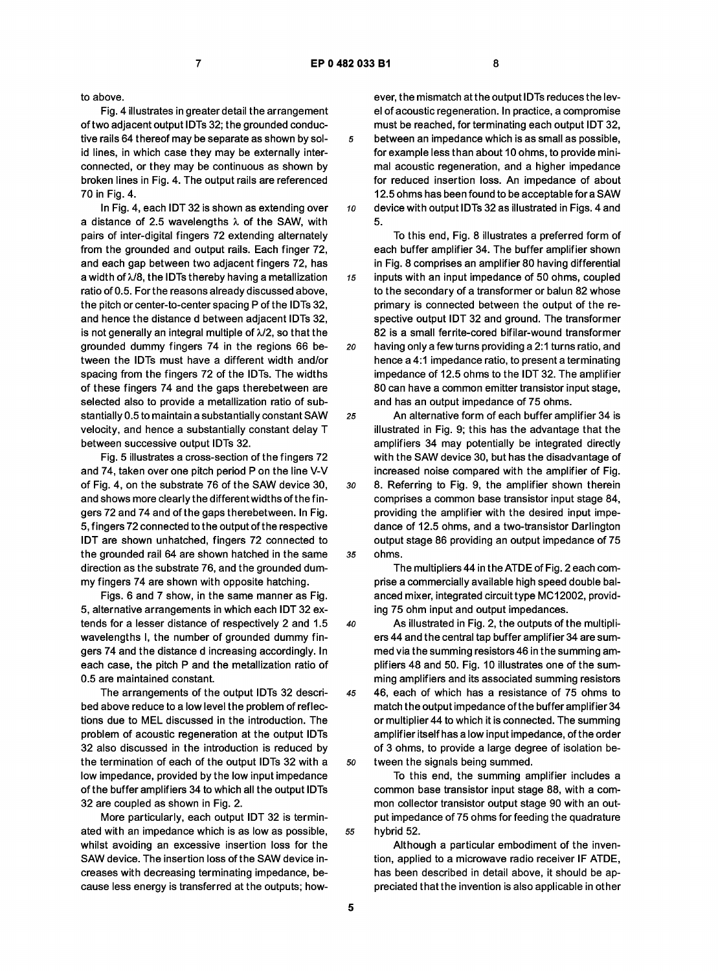to above.

Fig. 4 illustrates in greater detail the arrangement of two adjacent output IDTs 32; the grounded conductive rails 64 thereof may be separate as shown by solid lines, in which case they may be externally interconnected, or they may be continuous as shown by broken lines in Fig. 4. The output rails are referenced 70 in Fig. 4.

In Fig. 4, each IDT 32 is shown as extending over a distance of 2.5 wavelengths  $\lambda$  of the SAW, with pairs of inter-digital fingers 72 extending alternately from the grounded and output rails. Each finger 72, and each gap between two adjacent fingers 72, has a width of  $\lambda$ /8, the IDTs thereby having a metallization ratio of 0.5. For the reasons already discussed above, the pitch or center-to-center spacing P of the IDTs 32, and hence the distance d between adjacent IDTs 32, is not generally an integral multiple of  $\lambda/2$ , so that the grounded dummy fingers 74 in the regions 66 between the IDTs must have a different width and/or spacing from the fingers 72 of the IDTs. The widths of these fingers 74 and the gaps therebetween are selected also to provide a metallization ratio of substantially 0.5 to maintain a substantially constant SAW velocity, and hence a substantially constant delay T between successive output IDTs 32.

Fig. 5 illustrates a cross-section of the fingers 72 and 74, taken over one pitch period P on the line V-V of Fig. 4, on the substrate 76 of the SAW device 30, and shows more clearly the different widths of the fingers 72 and 74 and of the gaps therebetween. In Fig. 5, fingers 72 connected to the output of the respective IDT are shown unhatched, fingers 72 connected to the grounded rail 64 are shown hatched in the same direction as the substrate 76, and the grounded dummy fingers 74 are shown with opposite hatching.

Figs. 6 and 7 show, in the same manner as Fig. 5, alternative arrangements in which each IDT 32 extends for a lesser distance of respectively 2 and 1.5 wavelengths I, the number of grounded dummy fingers 74 and the distance d increasing accordingly. In each case, the pitch P and the metallization ratio of 0.5 are maintained constant.

The arrangements of the output IDTs 32 described above reduce to a low level the problem of reflections due to MEL discussed in the introduction. The problem of acoustic regeneration at the output IDTs 32 also discussed in the introduction is reduced by the termination of each of the output IDTs 32 with a low impedance, provided by the low input impedance of the buffer amplifiers 34 to which all the output IDTs 32 are coupled as shown in Fig. 2.

More particularly, each output IDT 32 is terminated with an impedance which is as low as possible, whilst avoiding an excessive insertion loss for the SAW device. The insertion loss of the SAW device increases with decreasing terminating impedance, because less energy is transferred at the outputs; how-

ever, the mismatch at the output IDTs reduces the level of acoustic regeneration. In practice, a compromise must be reached, for terminating each output IDT 32, 5 between an impedance which is as small as possible, for example less than about 10 ohms, to provide minimal acoustic regeneration, and a higher impedance for reduced insertion loss. An impedance of about 12.5 ohms has been found to be acceptable for a SAW 10 device with output IDTs 32 as illustrated in Figs. 4 and 5.

To this end, Fig. 8 illustrates a preferred form of each buffer amplifier 34. The buffer amplifier shown in Fig. 8 comprises an amplifier 80 having differential 15 inputs with an input impedance of 50 ohms, coupled to the secondary of a transformer or balun 82 whose primary is connected between the output of the respective output IDT 32 and ground. The transformer 82 is a small ferrite-cored bifilar-wound transformer 20 having only a few turns providing a 2:1 turns ratio, and hence a 4:1 impedance ratio, to present a terminating impedance of 12.5 ohms to the IDT 32. The amplifier 80 can have a common emitter transistor input stage, and has an output impedance of 75 ohms.

25 An alternative form of each buffer amplifier 34 is illustrated in Fig. 9; this has the advantage that the amplifiers 34 may potentially be integrated directly with the SAW device 30, but has the disadvantage of increased noise compared with the amplifier of Fig. 30 8. Referring to Fig. 9, the amplifier shown therein comprises a common base transistor input stage 84, providing the amplifier with the desired input impedance of 12.5 ohms, and a two-transistor Darlington output stage 86 providing an output impedance of 75 35 ohms.

> The multipliers 44 in the ATDE of Fig. 2 each comprise a commercially available high speed double balanced mixer, integrated circuit type MC12002, providing 75 ohm input and output impedances.

40 As illustrated in Fig. 2, the outputs of the multipliers 44 and the central tap buffer amplifier 34 are summed via the summing resistors 46 in the summing amplifiers 48 and 50. Fig. 10 illustrates one of the summing amplifiers and its associated summing resistors 45 46, each of which has a resistance of 75 ohms to match the output impedance of the buffer amplifier 34 or multiplier 44 to which it is connected. The summing amplifier itself has a low input impedance, of the order of 3 ohms, to provide a large degree of isolation be-50 tween the signals being summed.

To this end, the summing amplifier includes a common base transistor input stage 88, with a common collector transistor output stage 90 with an output impedance of 75 ohms for feeding the quadrature 55 hybrid 52.

> Although a particular embodiment of the invention, applied to a microwave radio receiver IF ATDE, has been described in detail above, it should be appreciated that the invention is also applicable in other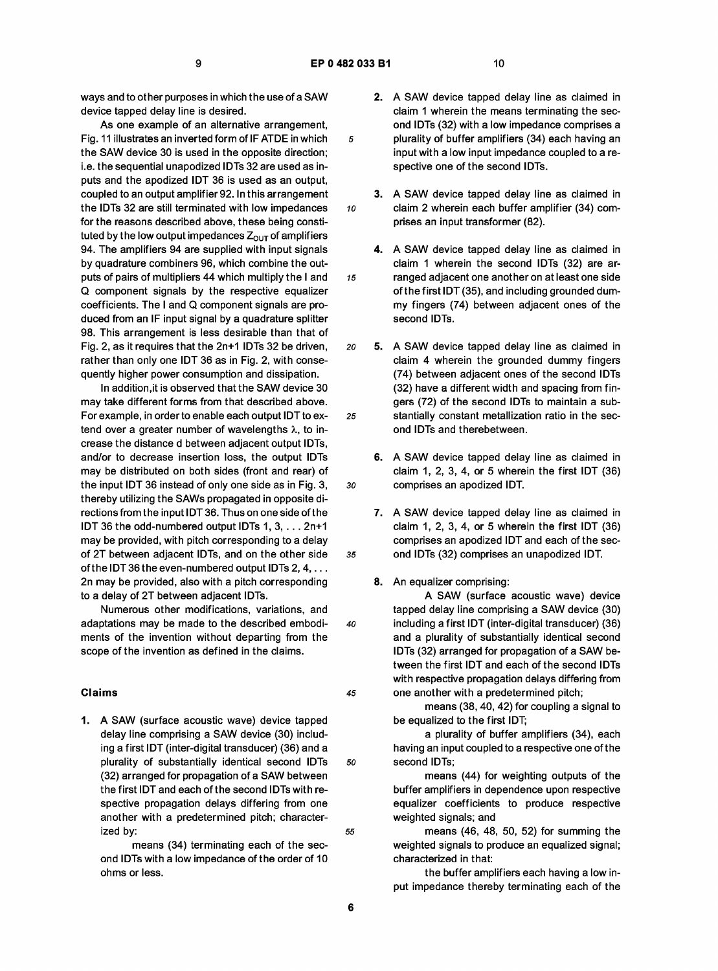ways and to other purposes in which the use of a SAW device tapped delay line is desired.

As one example of an alternative arrangement, Fig. 11 illustrates an inverted form of IF ATDE in which the SAW device 30 is used in the opposite direction; i.e. the sequential unapodized IDTs 32 are used as inputs and the apodized IDT 36 is used as an output, coupled to an output amplifier 92. In this arrangement the IDTs 32 are still terminated with low impedances for the reasons described above, these being constituted by the low output impedances  $Z_{\text{OUT}}$  of amplifiers 94. The amplifiers 94 are supplied with input signals by quadrature combiners 96, which combine the outputs of pairs of multipliers 44 which multiply the I and Q component signals by the respective equalizer coefficients. The I and Q component signals are produced from an IF input signal by a quadrature splitter 98. This arrangement is less desirable than that of Fig. 2, as it requires that the 2n+1 IDTs 32 be driven, rather than only one IDT 36 as in Fig. 2, with consequently higher power consumption and dissipation.

In addition, it is observed that the SAW device 30 may take different forms from that described above. For example, in order to enable each output IDT to extend over a greater number of wavelengths  $\lambda$ , to increase the distance d between adjacent output IDTs, and/or to decrease insertion loss, the output IDTs may be distributed on both sides (front and rear) of the input IDT 36 instead of only one side as in Fig. 3, thereby utilizing the SAWs propagated in opposite directions from the input IDT 36. Thus on one side of the IDT 36 the odd-numbered output IDTs 1,3,... 2n+1 may be provided, with pitch corresponding to a delay of 2T between adjacent IDTs, and on the other side of the IDT 36 the even-numbered output IDTs 2, 4, ... 2n may be provided, also with a pitch corresponding to a delay of 2T between adjacent IDTs.

Numerous other modifications, variations, and adaptations may be made to the described embodiments of the invention without departing from the scope of the invention as defined in the claims.

## Claims

1. A SAW (surface acoustic wave) device tapped delay line comprising a SAW device (30) including a first IDT (inter-digital transducer) (36) and a plurality of substantially identical second IDTs (32) arranged for propagation of a SAW between the first IDT and each of the second IDTs with respective propagation delays differing from one another with a predetermined pitch; characterized by:

means (34) terminating each of the second IDTs with a low impedance of the order of 10 ohms or less.

- 2. A SAW device tapped delay line as claimed in claim 1 wherein the means terminating the second IDTs (32) with a low impedance comprises a 5 plurality of buffer amplifiers (34) each having an input with a low input impedance coupled to a respective one of the second IDTs.
- 3. A SAW device tapped delay line as claimed in 10 claim 2 wherein each buffer amplifier (34) comprises an input transformer (82).
- 4. A SAW device tapped delay line as claimed in claim 1 wherein the second IDTs (32) are ar-15 ranged adjacent one another on at least one side of the first IDT (35), and including grounded dummy fingers (74) between adjacent ones of the second IDTs.
- 20 5. A SAW device tapped delay line as claimed in claim 4 wherein the grounded dummy fingers (74) between adjacent ones of the second IDTs (32) have a different width and spacing from fingers (72) of the second IDTs to maintain a sub-25 stantially constant metallization ratio in the second IDTs and therebetween.
- 6. A SAW device tapped delay line as claimed in claim 1, 2, 3, 4, or 5 wherein the first IDT (36) 30 comprises an apodized IDT.
- 7. A SAW device tapped delay line as claimed in claim 1, 2, 3, 4, or 5 wherein the first IDT (36) comprises an apodized IDT and each of the sec-35 ond IDTs (32) comprises an unapodized IDT.
	- 8. An equalizer comprising:

A SAW (surface acoustic wave) device tapped delay line comprising a SAW device (30) 40 including a first IDT (inter-digital transducer) (36) and a plurality of substantially identical second IDTs (32) arranged for propagation of a SAW between the first IDT and each of the second IDTs with respective propagation delays differing from 45 one another with a predetermined pitch;

> means (38, 40, 42) for coupling a signal to be equalized to the first IDT;

a plurality of buffer amplifiers (34), each having an input coupled to a respective one of the so second IDTs;

> means (44) for weighting outputs of the buffer amplifiers in dependence upon respective equalizer coefficients to produce respective weighted signals; and

55 means (46, 48, 50, 52) for summing the weighted signals to produce an equalized signal; characterized in that:

> the buffer amplifiers each having a low input impedance thereby terminating each of the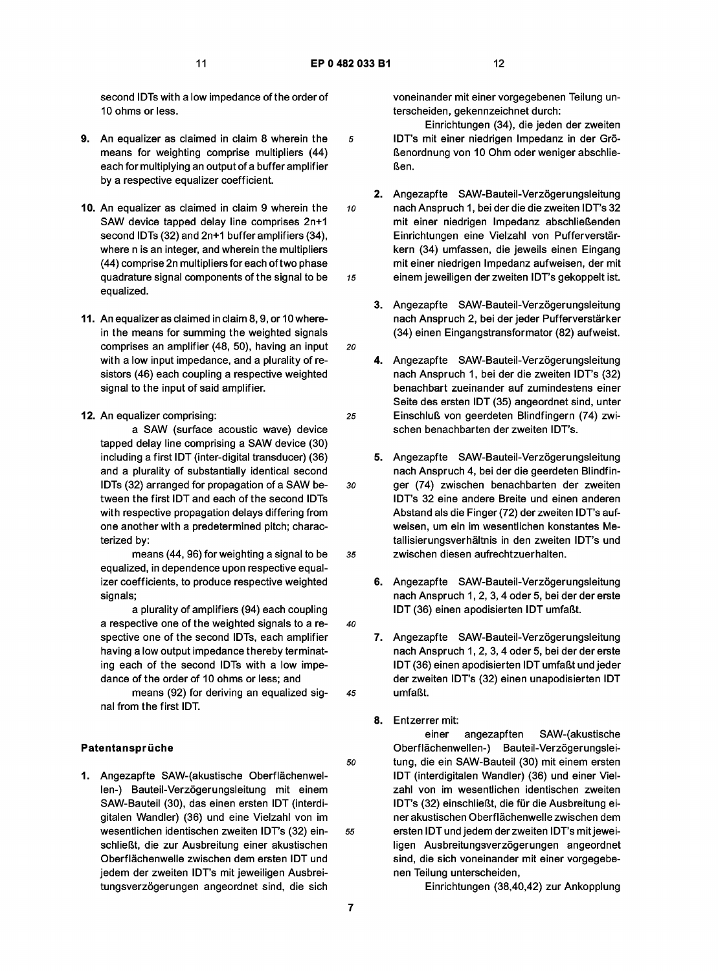40

second IDTs with a low impedance of the order of 10 ohms or less.

- 9. An equalizer as claimed in claim 8 wherein the means for weighting comprise multipliers (44) each for multiplying an output of a buffer amplifier by a respective equalizer coefficient.
- 10. An equalizer as claimed in claim 9 wherein the SAW device tapped delay line comprises 2n+1 second IDTs (32) and 2n+1 buffer amplifiers (34), where n is an integer, and wherein the multipliers (44) comprise 2n multipliers for each of two phase quadrature signal components of the signal to be equalized.
- 11. An equalizer as claimed in claim 8, 9, or 10 wherein the means for summing the weighted signals comprises an amplifier (48, 50), having an input with a low input impedance, and a plurality of resistors (46) each coupling a respective weighted signal to the input of said amplifier.
- 12. An equalizer comprising: a SAW (surface acoustic wave) device tapped delay line comprising a SAW device (30) including a first IDT (inter-digital transducer) (36) and a plurality of substantially identical second IDTs (32) arranged for propagation of a SAW between the first IDT and each of the second IDTs with respective propagation delays differing from one another with a predetermined pitch; characterized by:

means (44, 96) for weighting a signal to be equalized, in dependence upon respective equalizer coefficients, to produce respective weighted signals;

a plurality of amplifiers (94) each coupling a respective one of the weighted signals to a respective one of the second IDTs, each amplifier having a low output impedance thereby terminating each of the second IDTs with a low impedance of the order of 10 ohms or less; and

means (92) for deriving an equalized signal from the first IDT.

# Patentansprüche

1. Angezapfte SAW-(akustische Oberflächenwellen-) Bauteil-Verzögerungsleitung mit einem SAW-Bauteil (30), das einen ersten IDT (interdigitalen Wandler) (36) und eine Vielzahl von im wesentlichen identischen zweiten IDT's (32) einschließt, die zur Ausbreitung einer akustischen Oberflachenwelle zwischen dem ersten IDT und jedem der zweiten IDT's mit jeweiligen Ausbreitungsverzögerungen angeordnet sind, die sich

voneinander mit einer vorgegebenen Teilung unterscheiden, gekennzeichnet durch:

Einrichtungen (34), die jeden der zweiten 5 IDT's mit einer niedrigen Impedanz in der Großenordnung von 10 Ohm oder weniger abschließen.

- 2. Angezapfte SAW-Bauteil-Verzögerungsleitung 10 nach Anspruch 1, bei der die die zweiten IDT's 32 mit einer niedrigen Impedanz abschließenden Einrichtungen eine Vielzahl von Pufferverstärkern (34) umfassen, die jeweils einen Eingang mit einer niedrigen Impedanz aufweisen, der mit 15 einem jeweiligen der zweiten IDT's gekoppelt ist.
	- 3. Angezapfte SAW-Bauteil-Verzögerungsleitung nach Anspruch 2, bei der jeder Pufferverstärker (34) einen Eingangstransformator (82) aufweist.
- 4. Angezapfte SAW-Bauteil-Verzögerungsleitung nach Anspruch 1, bei der die zweiten IDT's (32) benachbart zueinander auf zumindestens einer Seite des ersten IDT (35) angeordnet sind, unter 25 Einschluli von geerdeten Blindfingern (74) zwischen benachbarten der zweiten IDT's.
- 5. Angezapfte SAW-Bauteil-Verzögerungsleitung nach Anspruch 4, bei der die geerdeten Blindfin-30 ger (74) zwischen benachbarten der zweiten IDT's 32 eine andere Breite und einen anderen Abstand alsdie Finger (72) der zweiten IDT's aufweisen, um ein im wesentlichen konstantes Metallisierungsverhaltnis in den zweiten IDT's und 35 zwischen diesen aufrechtzuerhalten.
	- 6. Angezapfte SAW-Bauteil-Verzögerungsleitung nach Anspruch 1,2,3,4 oder 5, bei der der erste IDT (36) einen apodisierten IDT umfaßt.
- 7. Angezapfte SAW-Bauteil-Verzögerungsleitung nach Anspruch 1,2,3,4 oder 5, bei der der erste IDT (36) einen apodisierten IDT umfaßt und jeder der zweiten IDT's (32) einen unapodisierten IDT 45 umfaßt.
	- 8. Entzerrer mit:

einer angezapften SAW-(akustische Oberflächenwellen-) Bauteil-Verzögerungslei-50 tung, die ein SAW-Bauteil (30) mit einem ersten IDT (interdigitalen Wandler) (36) und einer Vielzahl von im wesentlichen identischen zweiten IDT's (32) einschließt, die für die Ausbreitung einer akustischen Oberflachenwelle zwischen dem 55 ersten IDTundjedemderzweiten IDT's mit jeweiligen Ausbreitungsverzögerungen angeordnet sind, die sich voneinander mit einer vorgegebenen Teilung unterscheiden,

Einrichtungen (38,40,42) zur Ankopplung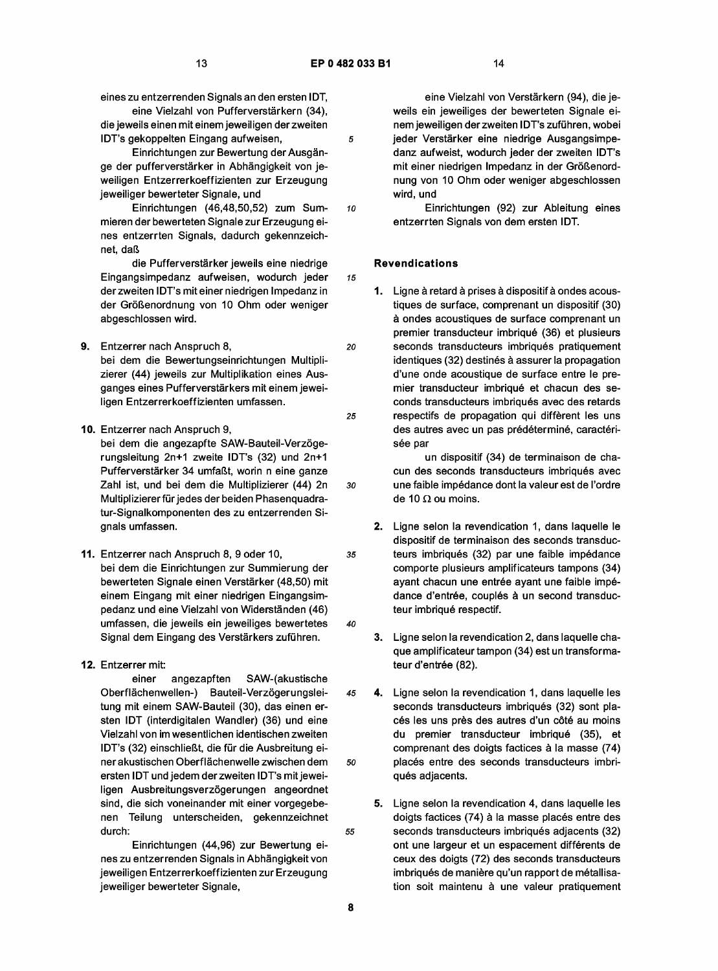eines zu entzerrenden Signals an den ersten IDT,

eine Vielzahl von Pufferverstärkern (34), die jeweils einen mit einem jeweiligen der zweiten IDT's gekoppelten Eingang aufweisen,

Einrichtungen zur Bewertung der Ausgange der pufferverstärker in Abhängigkeit von jeweiligen Entzerrerkoeffizienten zur Erzeugung jeweiliger bewerteter Signale, und

Einrichtungen (46,48,50,52) zum Summieren der bewerteten Signale zur Erzeugung eines entzerrten Signals, dadurch gekennzeichnet, daß

die Pufferverstärker jeweils eine niedrige Eingangsimpedanz aufweisen, wodurch jeder derzweiten IDT's mit einer niedrigen Impedanz in der Größenordnung von 10 Ohm oder weniger abgeschlossen wird.

- 9. Entzerrer nach Anspruch 8, bei dem die Bewertungseinrichtungen Multiplizierer (44) jeweils zur Multiplikation eines Ausganges eines Pufferverstärkers mit einem jeweiligen Entzerrerkoeffizienten umfassen.
- 10. Entzerrer nach Anspruch 9, bei dem die angezapfte SAW-Bauteil-Verzögerungsleitung 2n+1 zweite IDT's (32) und 2n+1 Pufferverstärker 34 umfaßt, worin n eine ganze Zahl ist, und bei dem die Multiplizierer (44) 2n Multiplizierer für jedes der beiden Phasenquadratur-Signalkomponenten des zu entzerrenden Signals umfassen.
- 11. Entzerrer nach Anspruch 8, 9 oder 10, bei dem die Einrichtungen zur Summierung der bewerteten Signale einen Verstärker (48,50) mit einem Eingang mit einer niedrigen Eingangsimpedanz und eine Vielzahl von Widerständen (46) umfassen, die jeweils ein jeweiliges bewertetes Signal dem Eingang des Verstärkers zuführen.

# 12. Entzerrer mit:

einer angezapften SAW-(akustische Oberflächenwellen-) Bauteil-Verzögerungsleitung mit einem SAW-Bauteil (30), das einen ersten IDT (interdigitalen Wandler) (36) und eine Vielzahl von im wesentlichen identischen zweiten IDT's (32) einschließt, die für die Ausbreitung einer akustischen Oberflachenwelle zwischen dem ersten IDT und jedem derzweiten IDT's mit jeweiligen Ausbreitungsverzögerungen angeordnet sind, die sich voneinander mit einer vorgegebenen Teilung unterscheiden, gekennzeichnet durch:

Einrichtungen (44,96) zur Bewertung eines zu entzerrenden Signals in Abhangigkeit von jeweiligen Entzerrerkoeffizienten zur Erzeugung jeweiliger bewerteter Signale,

eine Vielzahl von Verstärkern (94), die jeweils ein jeweiliges der bewerteten Signale einem jeweiligen derzweiten IDT's zufuhren, wobei 5 jeder Verstärker eine niedrige Ausgangsimpedanz aufweist, wodurch jeder der zweiten IDT's mit einer niedrigen Impedanz in der Größenordnung von 10 Ohm oder weniger abgeschlossen wird, und

10 Einrichtungen (92) zur Ableitung eines entzerrten Signals von dem ersten IDT.

# Revendications

1. Ligne à retard à prises à dispositif à ondes acoustiques de surface, comprenant un dispositif (30) a ondes acoustiques de surface comprenant un premier transducteur imbriqué (36) et plusieurs 20 seconds transducteurs imbriqués pratiquement identiques (32) destinés à assurer la propagation d'une onde acoustique de surface entre le premier transducteur imbriqué et chacun des seconds transducteurs imbriqués avec des retards 25 respectifs de propagation qui different les uns des autres avec un pas prédéterminé, caractérisée par

un dispositif (34) de terminaison de chacun des seconds transducteurs imbriqués avec 30 unefaible impedance dont la valeurestde I'ordre de 10  $\Omega$  ou moins.

2. Ligne selon la revendication 1, dans laquelle le dispositif de terminaison des seconds transduc-35 teurs imbriqués (32) par une faible impédance comporte plusieurs amplificateurs tampons (34) ayant chacun une entrée ayant une faible impédance d'entrée, couplés à un second transducteur imbriqué respectif.

- 3. Ligne selon la revendication 2, dans laquelle chaque amplificateur tampon (34) est un transformateur d'entrée (82).
- 45 4. Ligne selon la revendication 1, dans laquelle les seconds transducteurs imbriqués (32) sont placés les uns près des autres d'un côté au moins du premier transducteur imbriqué (35), et comprenant des doigts factices a la masse (74) so placés entre des seconds transducteurs imbriqués adjacents.
- 5. Ligne selon la revendication 4, dans laquelle les doigts factices (74) à la masse placés entre des 55 seconds transducteurs imbriques adjacents (32) ont une largeur et un espacement differents de ceux des doigts (72) des seconds transducteurs imbriqués de manière qu'un rapport de métallisation soit maintenu à une valeur pratiquement

8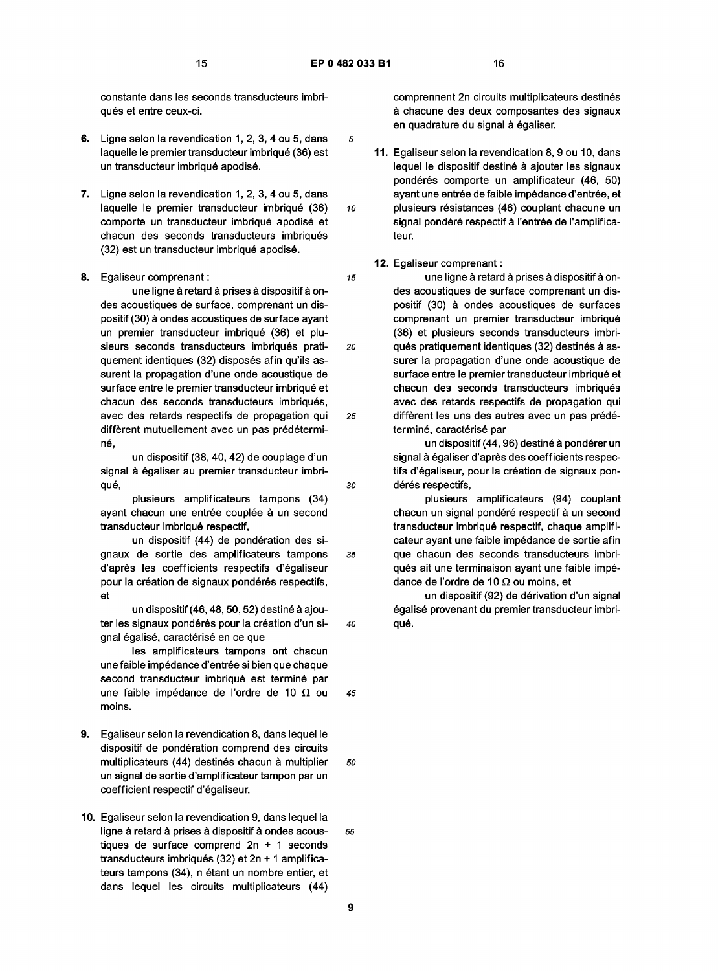constante dans les seconds transducteurs imbriqués et entre ceux-ci.

- 6. Ligne selon la revendication 1, 2, 3, 4 ou 5, dans laquelle le premier transducteur imbriqué (36) est un transducteur imbriqué apodisé.
- 7. Ligne selon la revendication 1, 2, 3, 4 ou 5, dans laquelle le premier transducteur imbriqué (36) comporte un transducteur imbriqué apodisé et chacun des seconds transducteurs imbriqués (32) est un transducteur imbrique apodise.
- 8. Egaliseur comprenant :

une ligne à retard à prises à dispositif à ondes acoustiques de surface, comprenant un dispositif (30) a ondes acoustiques de surface ayant un premier transducteur imbriqué (36) et plusieurs seconds transducteurs imbriqués pratiquement identiques (32) disposés afin qu'ils assurent la propagation d'une onde acoustique de surface entre le premier transducteur imbriqué et chacun des seconds transducteurs imbriqués, avec des retards respectifs de propagation qui diffèrent mutuellement avec un pas prédétermine,

un dispositif (38, 40, 42) de couplage d'un signal à égaliser au premier transducteur imbriqué.

plusieurs amplificateurs tampons (34) ayant chacun une entrée couplée à un second transducteur imbrique respectif,

un dispositif (44) de pondération des signaux de sortie des amplificateurs tampons d'après les coefficients respectifs d'égaliseur pour la création de signaux pondérés respectifs, et

un dispositif (46, 48, 50, 52) destiné à ajouter les signaux pondérés pour la création d'un signal égalisé, caractérisé en ce que

les amplificateurs tampons ont chacun une faible impédance d'entrée si bien que chaque second transducteur imbriqué est terminé par une faible impédance de l'ordre de 10  $\Omega$  ou moins.

- 9. Egaliseur selon la revendication 8, dans lequel le dispositif de pondération comprend des circuits multiplicateurs (44) destinés chacun à multiplier 50 un signal de sortie d'amplif icateur tampon par un coefficient respectif d'egaliseur.
- 10. Egaliseur selon la revendication 9, dans lequel la ligne à retard à prises à dispositif à ondes acous-<br>55 tiques de surface comprend 2n + 1 seconds transducteurs imbriqués (32) et  $2n + 1$  amplificateurs tampons (34), n étant un nombre entier, et dans lequel les circuits multiplicateurs (44)

comprennent 2n circuits multiplicateurs destinés a chacune des deux composantes des signaux en quadrature du signal à égaliser.

11. Egaliseur selon la revendication 8, 9 ou 10, dans lequel le dispositif destiné à ajouter les signaux pondérés comporte un amplificateur (46, 50) ayant une entrée de faible impédance d'entrée, et 10 plusieurs résistances (46) couplant chacune un signal pondéré respectif à l'entrée de l'amplificateur.

#### 12. Egaliseur comprenant :

15 une ligne à retard à prises à dispositif à ondes acoustiques de surface comprenant un dispositif (30) a ondes acoustiques de surfaces comprenant un premier transducteur imbriqué (36) et plusieurs seconds transducteurs imbri-20 qués pratiquement identiques (32) destinés à assurer la propagation d'une onde acoustique de surface entre le premier transducteur imbriqué et chacun des seconds transducteurs imbriqués avec des retards respectifs de propagation qui 25 different les uns des autres avec un pas predeterminé, caractérisé par

un dispositif (44, 96) destiné à pondérer un signal à égaliser d'après des coefficients respectifs d'égaliseur, pour la création de signaux pon-30 dérés respectifs,

plusieurs amplificateurs (94) couplant chacun un signal pondéré respectif à un second transducteur imbrique respectif, chaque amplificateur ayant une faible impedance de sortie afin 35 que chacun des seconds transducteurs imbriqués ait une terminaison avant une faible impédance de l'ordre de 10  $\Omega$  ou moins, et

un dispositif (92) de derivation d'un signal égalisé provenant du premier transducteur imbri-40 qué.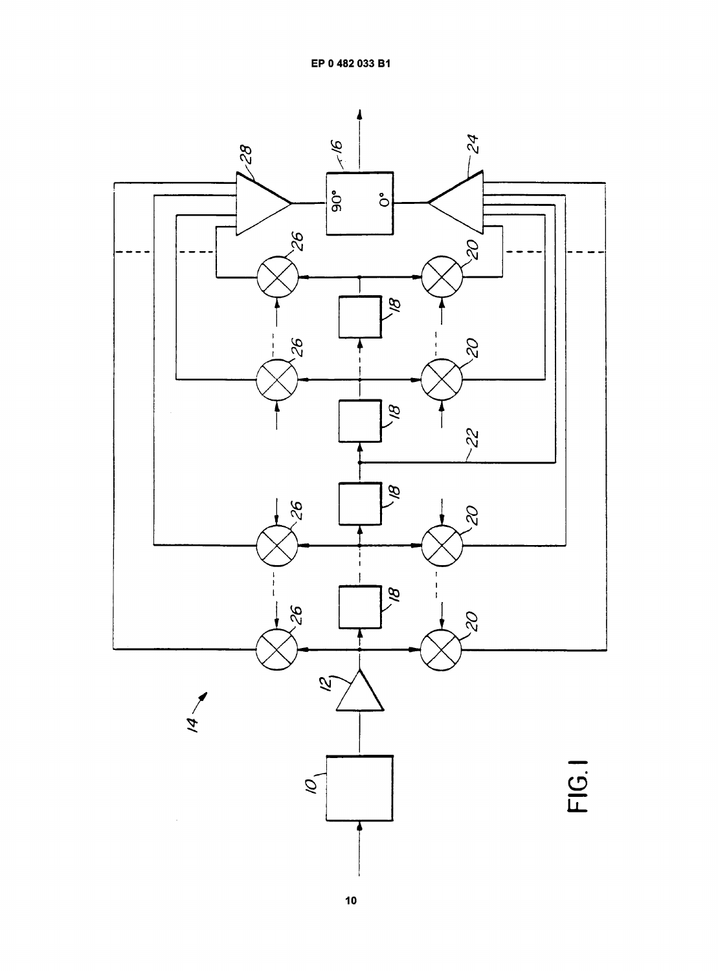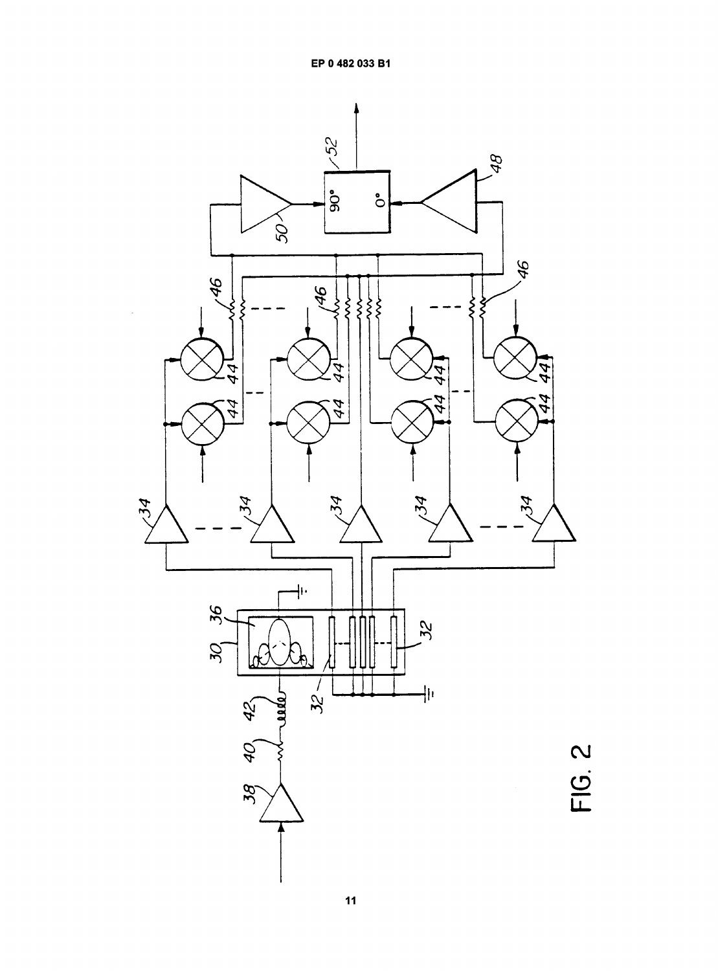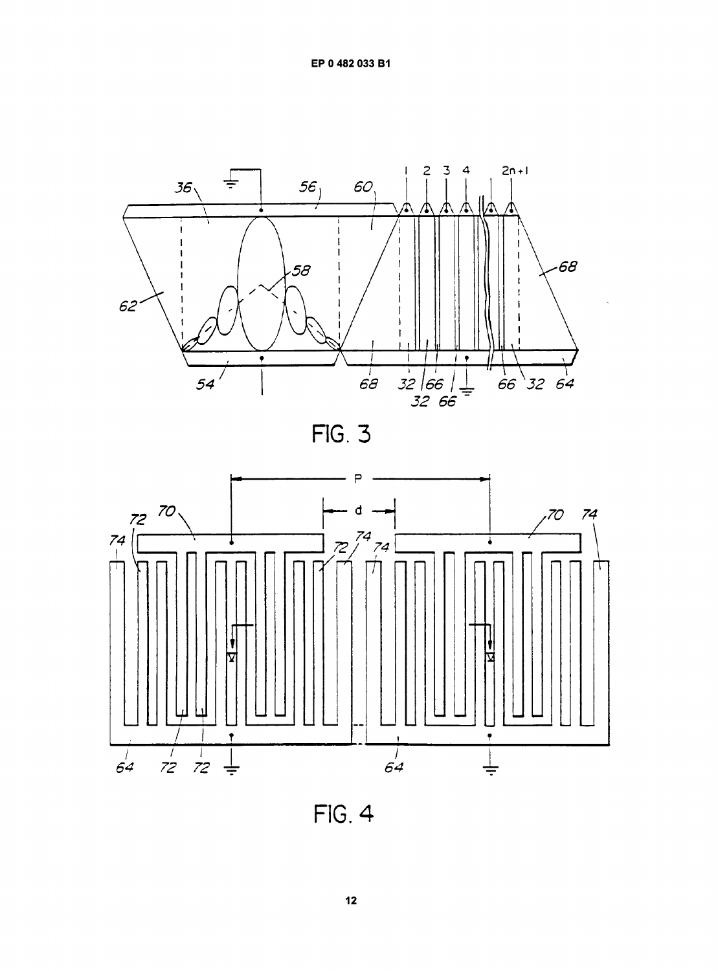EP 0 482 033 B1



**FIG. 3** 



**FIG. 4**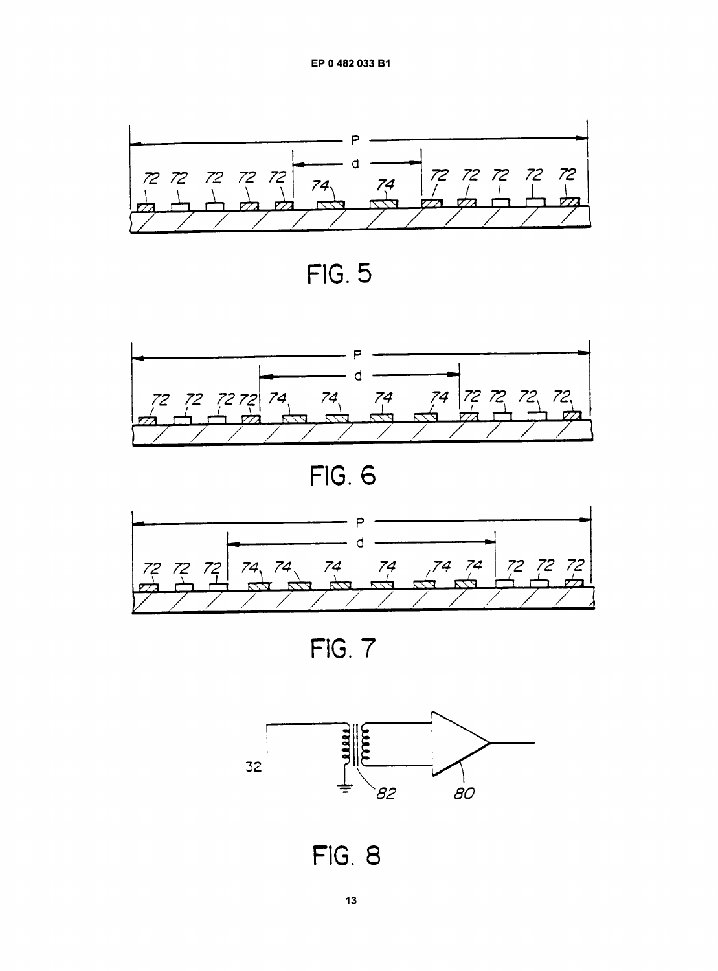EP 0 482 033 B1



FIG. 5



**FIG. 6** 



FIG. 7



**FIG. 8**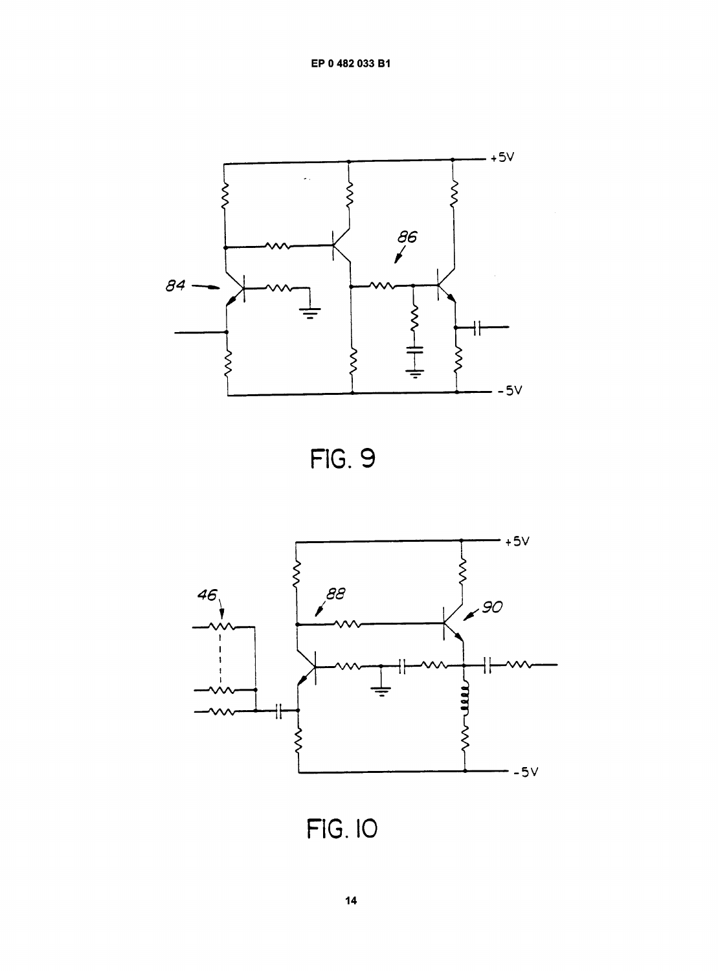EP 0 482 033 B1



**FIG. 9** 



**FIG. 10**